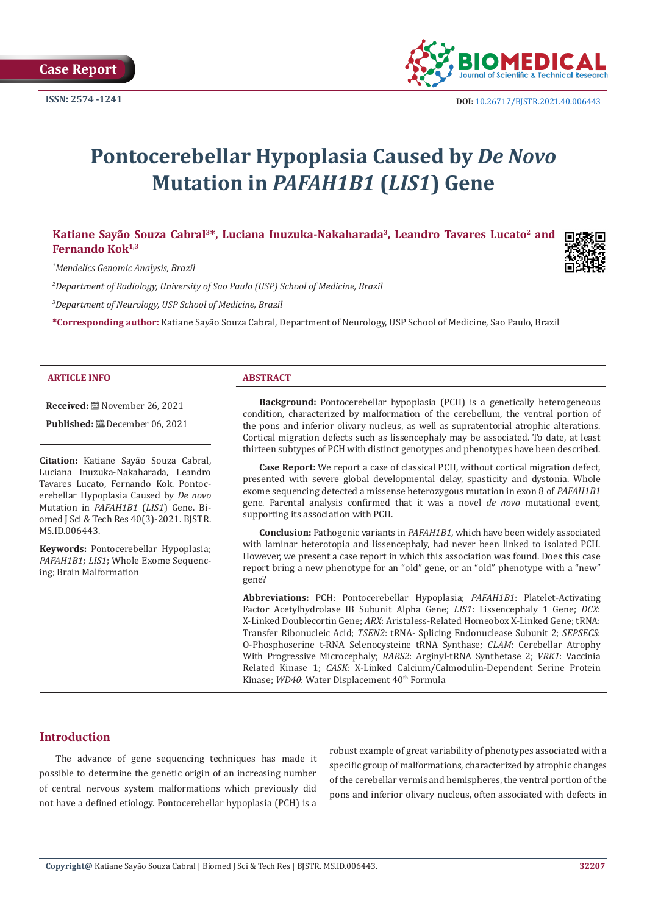

# **Pontocerebellar Hypoplasia Caused by** *De Novo* **Mutation in** *PAFAH1B1* **(***LIS1***) Gene**

Katiane Sayão Souza Cabral<sup>3\*</sup>, Luciana Inuzuka-Nakaharada<sup>3</sup>, Leandro Tavares Lucato<sup>2</sup> and Fernando Kok<sup>1,3</sup>

*1 Mendelics Genomic Analysis, Brazil*

*2 Department of Radiology, University of Sao Paulo (USP) School of Medicine, Brazil*

*3 Department of Neurology, USP School of Medicine, Brazil*

**\*Corresponding author:** Katiane Sayão Souza Cabral, Department of Neurology, USP School of Medicine, Sao Paulo, Brazil

#### **ARTICLE INFO ABSTRACT**

**Received:** November 26, 2021

**Published:** December 06, 2021

**Citation:** Katiane Sayão Souza Cabral, Luciana Inuzuka-Nakaharada, Leandro Tavares Lucato, Fernando Kok. Pontocerebellar Hypoplasia Caused by *De novo* Mutation in *PAFAH1B1* (*LIS1*) Gene. Biomed J Sci & Tech Res 40(3)-2021. BJSTR. MS.ID.006443.

**Keywords:** Pontocerebellar Hypoplasia; *PAFAH1B1*; *LIS1*; Whole Exome Sequencing; Brain Malformation

**Background:** Pontocerebellar hypoplasia (PCH) is a genetically heterogeneous condition, characterized by malformation of the cerebellum, the ventral portion of the pons and inferior olivary nucleus, as well as supratentorial atrophic alterations. Cortical migration defects such as lissencephaly may be associated. To date, at least thirteen subtypes of PCH with distinct genotypes and phenotypes have been described.

**Case Report:** We report a case of classical PCH, without cortical migration defect, presented with severe global developmental delay, spasticity and dystonia. Whole exome sequencing detected a missense heterozygous mutation in exon 8 of *PAFAH1B1* gene. Parental analysis confirmed that it was a novel *de novo* mutational event, supporting its association with PCH.

**Conclusion:** Pathogenic variants in *PAFAH1B1*, which have been widely associated with laminar heterotopia and lissencephaly, had never been linked to isolated PCH. However, we present a case report in which this association was found. Does this case report bring a new phenotype for an "old" gene, or an "old" phenotype with a "new" gene?

**Abbreviations:** PCH: Pontocerebellar Hypoplasia; *PAFAH1B1*: Platelet-Activating Factor Acetylhydrolase IB Subunit Alpha Gene; *LIS1*: Lissencephaly 1 Gene; *DCX*: X-Linked Doublecortin Gene; *ARX*: Aristaless-Related Homeobox X-Linked Gene; tRNA: Transfer Ribonucleic Acid; *TSEN2*: tRNA- Splicing Endonuclease Subunit 2; *SEPSECS*: O-Phosphoserine t-RNA Selenocysteine tRNA Synthase; *CLAM*: Cerebellar Atrophy With Progressive Microcephaly; *RARS2*: Arginyl-tRNA Synthetase 2; *VRK1*: Vaccinia Related Kinase 1; *CASK*: X-Linked Calcium/Calmodulin-Dependent Serine Protein Kinase: *WD40*: Water Displacement 40<sup>th</sup> Formula

# **Introduction**

The advance of gene sequencing techniques has made it possible to determine the genetic origin of an increasing number of central nervous system malformations which previously did not have a defined etiology. Pontocerebellar hypoplasia (PCH) is a

robust example of great variability of phenotypes associated with a specific group of malformations, characterized by atrophic changes of the cerebellar vermis and hemispheres, the ventral portion of the pons and inferior olivary nucleus, often associated with defects in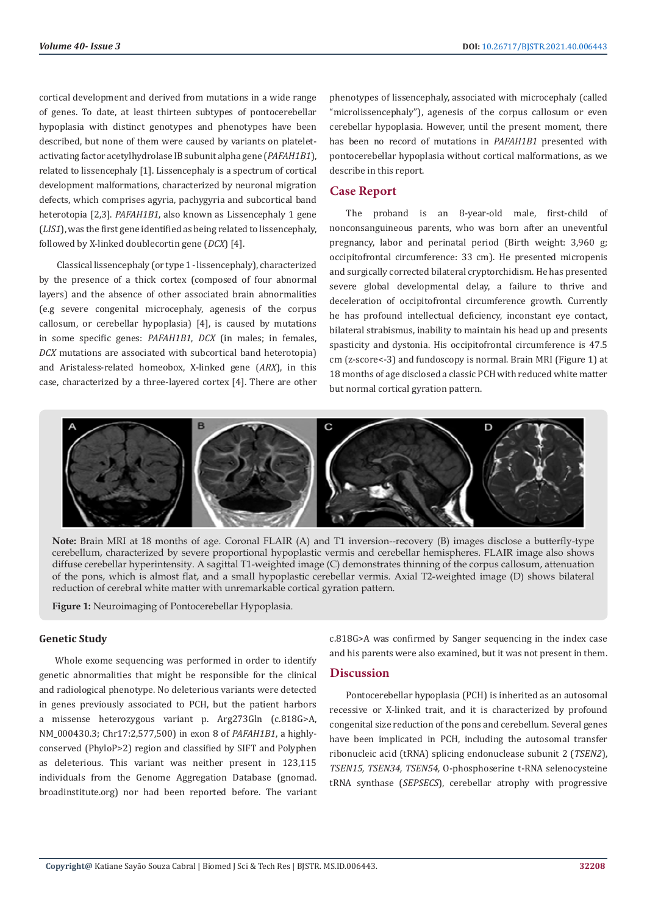cortical development and derived from mutations in a wide range of genes. To date, at least thirteen subtypes of pontocerebellar hypoplasia with distinct genotypes and phenotypes have been described, but none of them were caused by variants on plateletactivating factor acetylhydrolase IB subunit alpha gene (*PAFAH1B1*), related to lissencephaly [1]. Lissencephaly is a spectrum of cortical development malformations, characterized by neuronal migration defects, which comprises agyria, pachygyria and subcortical band heterotopia [2,3]. *PAFAH1B1*, also known as Lissencephaly 1 gene (*LIS1*), was the first gene identified as being related to lissencephaly, followed by X-linked doublecortin gene (*DCX*) [4].

 Classical lissencephaly (or type 1 - lissencephaly), characterized by the presence of a thick cortex (composed of four abnormal layers) and the absence of other associated brain abnormalities (e.g severe congenital microcephaly, agenesis of the corpus callosum, or cerebellar hypoplasia) [4], is caused by mutations in some specific genes: *PAFAH1B1*, *DCX* (in males; in females, *DCX* mutations are associated with subcortical band heterotopia) and Aristaless-related homeobox, X-linked gene (*ARX*), in this case, characterized by a three-layered cortex [4]. There are other

phenotypes of lissencephaly, associated with microcephaly (called "microlissencephaly"), agenesis of the corpus callosum or even cerebellar hypoplasia. However, until the present moment, there has been no record of mutations in *PAFAH1B1* presented with pontocerebellar hypoplasia without cortical malformations, as we describe in this report.

# **Case Report**

The proband is an 8-year-old male, first-child of nonconsanguineous parents, who was born after an uneventful pregnancy, labor and perinatal period (Birth weight: 3,960 g; occipitofrontal circumference: 33 cm). He presented micropenis and surgically corrected bilateral cryptorchidism. He has presented severe global developmental delay, a failure to thrive and deceleration of occipitofrontal circumference growth. Currently he has profound intellectual deficiency, inconstant eye contact, bilateral strabismus, inability to maintain his head up and presents spasticity and dystonia. His occipitofrontal circumference is 47.5 cm (z-score<-3) and fundoscopy is normal. Brain MRI (Figure 1) at 18 months of age disclosed a classic PCH with reduced white matter but normal cortical gyration pattern.



**Note:** Brain MRI at 18 months of age. Coronal FLAIR (A) and T1 inversion--recovery (B) images disclose a butterfly-type cerebellum, characterized by severe proportional hypoplastic vermis and cerebellar hemispheres. FLAIR image also shows diffuse cerebellar hyperintensity. A sagittal T1-weighted image (C) demonstrates thinning of the corpus callosum, attenuation of the pons, which is almost flat, and a small hypoplastic cerebellar vermis. Axial T2-weighted image (D) shows bilateral reduction of cerebral white matter with unremarkable cortical gyration pattern.

**Figure 1:** Neuroimaging of Pontocerebellar Hypoplasia.

#### **Genetic Study**

Whole exome sequencing was performed in order to identify genetic abnormalities that might be responsible for the clinical and radiological phenotype. No deleterious variants were detected in genes previously associated to PCH, but the patient harbors a missense heterozygous variant p. Arg273Gln (c.818G>A, NM\_000430.3; Chr17:2,577,500) in exon 8 of *PAFAH1B1*, a highlyconserved (PhyloP>2) region and classified by SIFT and Polyphen as deleterious. This variant was neither present in 123,115 individuals from the Genome Aggregation Database (gnomad. broadinstitute.org) nor had been reported before. The variant

c.818G>A was confirmed by Sanger sequencing in the index case and his parents were also examined, but it was not present in them.

## **Discussion**

Pontocerebellar hypoplasia (PCH) is inherited as an autosomal recessive or X-linked trait, and it is characterized by profound congenital size reduction of the pons and cerebellum. Several genes have been implicated in PCH, including the autosomal transfer ribonucleic acid (tRNA) splicing endonuclease subunit 2 (*TSEN2*), *TSEN15, TSEN34, TSEN54,* O-phosphoserine t-RNA selenocysteine tRNA synthase (*SEPSECS*), cerebellar atrophy with progressive